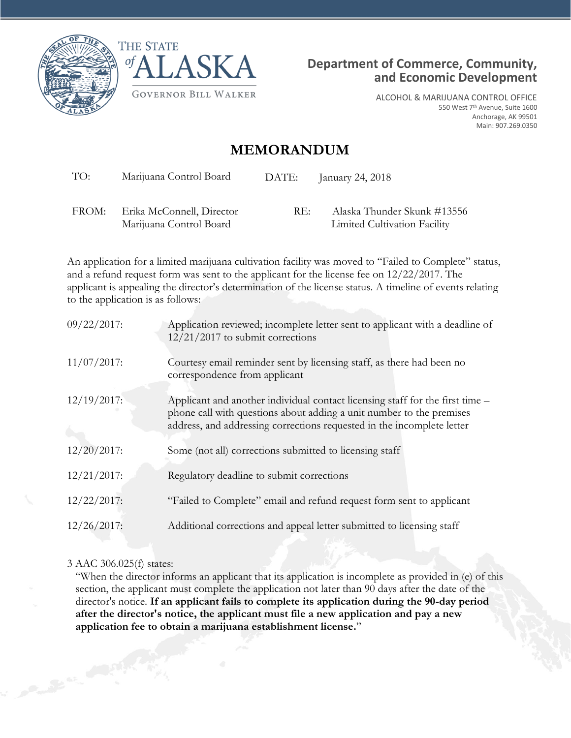





ALCOHOL & MARIJUANA CONTROL OFFICE 550 West 7th Avenue, Suite 1600 Anchorage, AK 99501 Main: 907.269.0350

## **MEMORANDUM**

TO: Marijuana Control Board DATE: January 24, 2018

FROM: Erika McConnell, Director Marijuana Control Board

RE: Alaska Thunder Skunk #13556 Limited Cultivation Facility

An application for a limited marijuana cultivation facility was moved to "Failed to Complete" status, and a refund request form was sent to the applicant for the license fee on 12/22/2017. The applicant is appealing the director's determination of the license status. A timeline of events relating to the application is as follows:

| $09/22/2017$ : | Application reviewed; incomplete letter sent to applicant with a deadline of<br>$12/21/2017$ to submit corrections                                                                                                              |
|----------------|---------------------------------------------------------------------------------------------------------------------------------------------------------------------------------------------------------------------------------|
| $11/07/2017$ : | Courtesy email reminder sent by licensing staff, as there had been no<br>correspondence from applicant                                                                                                                          |
| $12/19/2017$ : | Applicant and another individual contact licensing staff for the first time –<br>phone call with questions about adding a unit number to the premises<br>address, and addressing corrections requested in the incomplete letter |
| $12/20/2017$ : | Some (not all) corrections submitted to licensing staff                                                                                                                                                                         |
| $12/21/2017$ : | Regulatory deadline to submit corrections                                                                                                                                                                                       |
| $12/22/2017$ : | "Failed to Complete" email and refund request form sent to applicant                                                                                                                                                            |
| $12/26/2017$ : | Additional corrections and appeal letter submitted to licensing staff                                                                                                                                                           |

## 3 AAC 306.025(f) states:

"When the director informs an applicant that its application is incomplete as provided in (e) of this section, the applicant must complete the application not later than 90 days after the date of the director's notice. **If an applicant fails to complete its application during the 90-day period after the director's notice, the applicant must file a new application and pay a new application fee to obtain a marijuana establishment license.**"